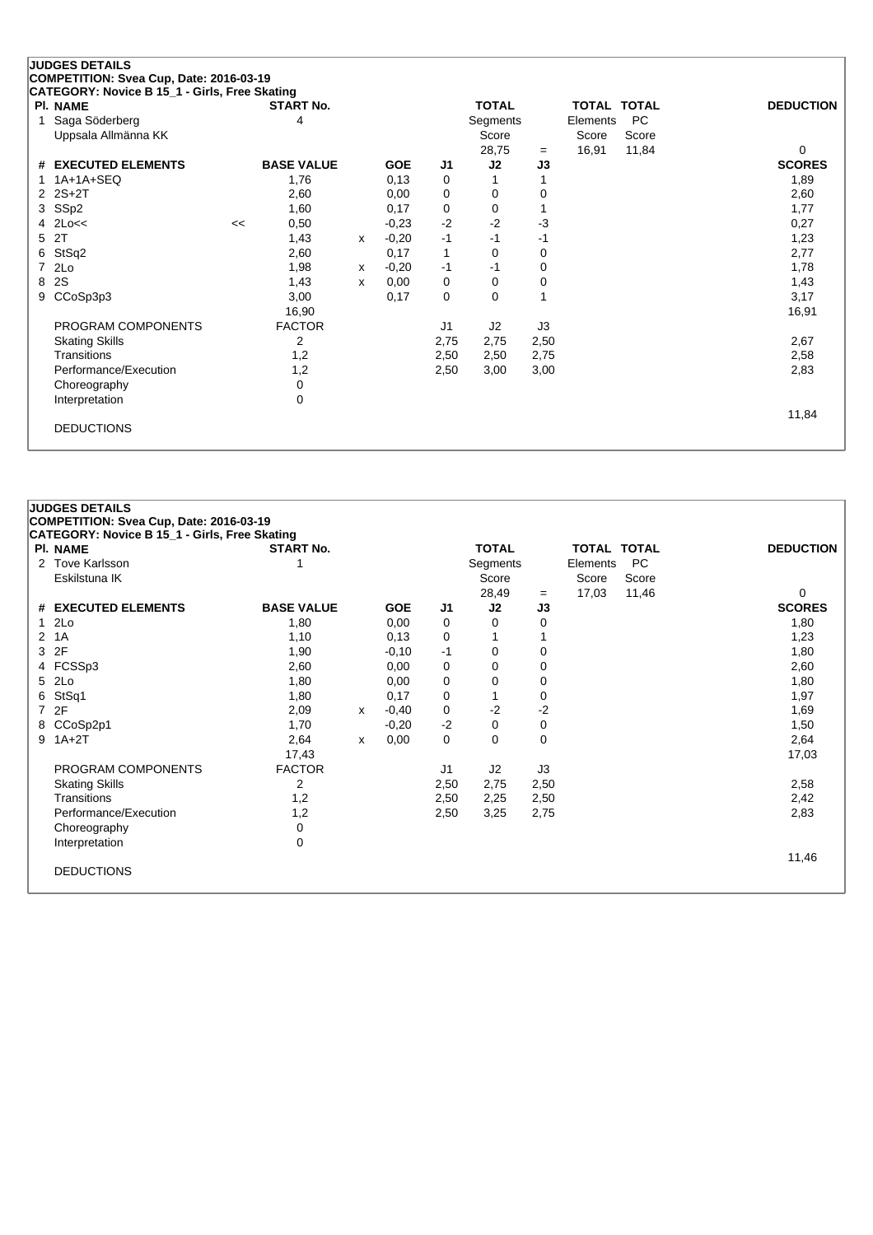## **JUDGES DETAILS**

**COMPETITION: Svea Cup, Date: 2016-03-19**

| CATEGORY: Novice B 15_1 - Girls, Free Skating |    |                   |   |            |      |              |      |             |           |                  |
|-----------------------------------------------|----|-------------------|---|------------|------|--------------|------|-------------|-----------|------------------|
| <b>PI. NAME</b>                               |    | <b>START No.</b>  |   |            |      | <b>TOTAL</b> |      | TOTAL TOTAL |           | <b>DEDUCTION</b> |
| Saga Söderberg                                |    | 4                 |   |            |      | Segments     |      | Elements    | <b>PC</b> |                  |
| Uppsala Allmänna KK                           |    |                   |   |            |      | Score        |      | Score       | Score     |                  |
|                                               |    |                   |   |            |      | 28,75        | $=$  | 16,91       | 11,84     | 0                |
| # EXECUTED ELEMENTS                           |    | <b>BASE VALUE</b> |   | <b>GOE</b> | J1   | J2           | J3   |             |           | <b>SCORES</b>    |
| 1A+1A+SEQ                                     |    | 1,76              |   | 0,13       | 0    |              |      |             |           | 1,89             |
| 2 2S+2T                                       |    | 2,60              |   | 0,00       | 0    | 0            | 0    |             |           | 2,60             |
| 3 SSp2                                        |    | 1,60              |   | 0,17       | 0    | 0            |      |             |           | 1,77             |
| $4$ 2Lo $<<$                                  | << | 0,50              |   | $-0.23$    | $-2$ | $-2$         | -3   |             |           | 0,27             |
| 5 2T                                          |    | 1,43              | x | $-0,20$    | $-1$ | $-1$         | -1   |             |           | 1,23             |
| 6 StSq2                                       |    | 2,60              |   | 0,17       | 1    | 0            | 0    |             |           | 2,77             |
| 7 2Lo                                         |    | 1,98              | x | $-0,20$    | -1   | -1           | 0    |             |           | 1,78             |
| 8 2S                                          |    | 1,43              | x | 0,00       | 0    | 0            | 0    |             |           | 1,43             |
| 9 CCoSp3p3                                    |    | 3,00              |   | 0,17       | 0    | 0            |      |             |           | 3,17             |
|                                               |    | 16,90             |   |            |      |              |      |             |           | 16,91            |
| PROGRAM COMPONENTS                            |    | <b>FACTOR</b>     |   |            | J1   | J2           | J3   |             |           |                  |
| <b>Skating Skills</b>                         |    | 2                 |   |            | 2,75 | 2,75         | 2,50 |             |           | 2,67             |
| Transitions                                   |    | 1,2               |   |            | 2,50 | 2,50         | 2,75 |             |           | 2,58             |
| Performance/Execution                         |    | 1,2               |   |            | 2,50 | 3,00         | 3,00 |             |           | 2,83             |
| Choreography                                  |    | 0                 |   |            |      |              |      |             |           |                  |
| Interpretation                                |    | 0                 |   |            |      |              |      |             |           |                  |
|                                               |    |                   |   |            |      |              |      |             |           | 11,84            |
| <b>DEDUCTIONS</b>                             |    |                   |   |            |      |              |      |             |           |                  |
|                                               |    |                   |   |            |      |              |      |             |           |                  |

| PI. NAME                                     | <b>START No.</b>  |              |            |                | <b>TOTAL</b> |             | <b>TOTAL TOTAL</b> |           | <b>DEDUCTION</b> |
|----------------------------------------------|-------------------|--------------|------------|----------------|--------------|-------------|--------------------|-----------|------------------|
| <b>Tove Karlsson</b><br>$\mathbf{2}^{\circ}$ |                   |              |            |                | Segments     |             | Elements           | <b>PC</b> |                  |
| Eskilstuna IK                                |                   |              |            |                | Score        |             | Score              | Score     |                  |
|                                              |                   |              |            |                | 28,49        | $=$         | 17,03              | 11,46     | $\Omega$         |
| # EXECUTED ELEMENTS                          | <b>BASE VALUE</b> |              | <b>GOE</b> | J <sub>1</sub> | J2           | J3          |                    |           | <b>SCORES</b>    |
| 2Lo                                          | 1,80              |              | 0,00       | 0              | $\Omega$     | 0           |                    |           | 1,80             |
| 1A<br>2                                      | 1,10              |              | 0,13       | 0              |              |             |                    |           | 1,23             |
| 2F<br>3                                      | 1,90              |              | $-0,10$    | -1             | 0            | 0           |                    |           | 1,80             |
| 4 FCSSp3                                     | 2,60              |              | 0,00       | 0              | $\Omega$     | 0           |                    |           | 2,60             |
| 2Lo<br>5                                     | 1,80              |              | 0,00       | 0              | 0            | $\Omega$    |                    |           | 1,80             |
| StSq1<br>6                                   | 1,80              |              | 0,17       | 0              |              | 0           |                    |           | 1,97             |
| 2F<br>7                                      | 2,09              | $\mathsf{x}$ | $-0,40$    | 0              | $-2$         | $-2$        |                    |           | 1,69             |
| CCoSp2p1<br>8                                | 1,70              |              | $-0,20$    | $-2$           | $\Omega$     | $\mathbf 0$ |                    |           | 1,50             |
| $1A+2T$<br>9                                 | 2,64              | $\mathsf{x}$ | 0,00       | $\Omega$       | $\Omega$     | $\Omega$    |                    |           | 2,64             |
|                                              | 17,43             |              |            |                |              |             |                    |           | 17,03            |
| PROGRAM COMPONENTS                           | <b>FACTOR</b>     |              |            | J <sub>1</sub> | J2           | J3          |                    |           |                  |
| <b>Skating Skills</b>                        | 2                 |              |            | 2,50           | 2,75         | 2,50        |                    |           | 2,58             |
| Transitions                                  | 1,2               |              |            | 2,50           | 2,25         | 2,50        |                    |           | 2,42             |
| Performance/Execution                        | 1,2               |              |            | 2,50           | 3,25         | 2,75        |                    |           | 2,83             |
| Choreography                                 | 0                 |              |            |                |              |             |                    |           |                  |
| Interpretation                               | $\mathbf 0$       |              |            |                |              |             |                    |           |                  |
|                                              |                   |              |            |                |              |             |                    |           | 11,46            |
| <b>DEDUCTIONS</b>                            |                   |              |            |                |              |             |                    |           |                  |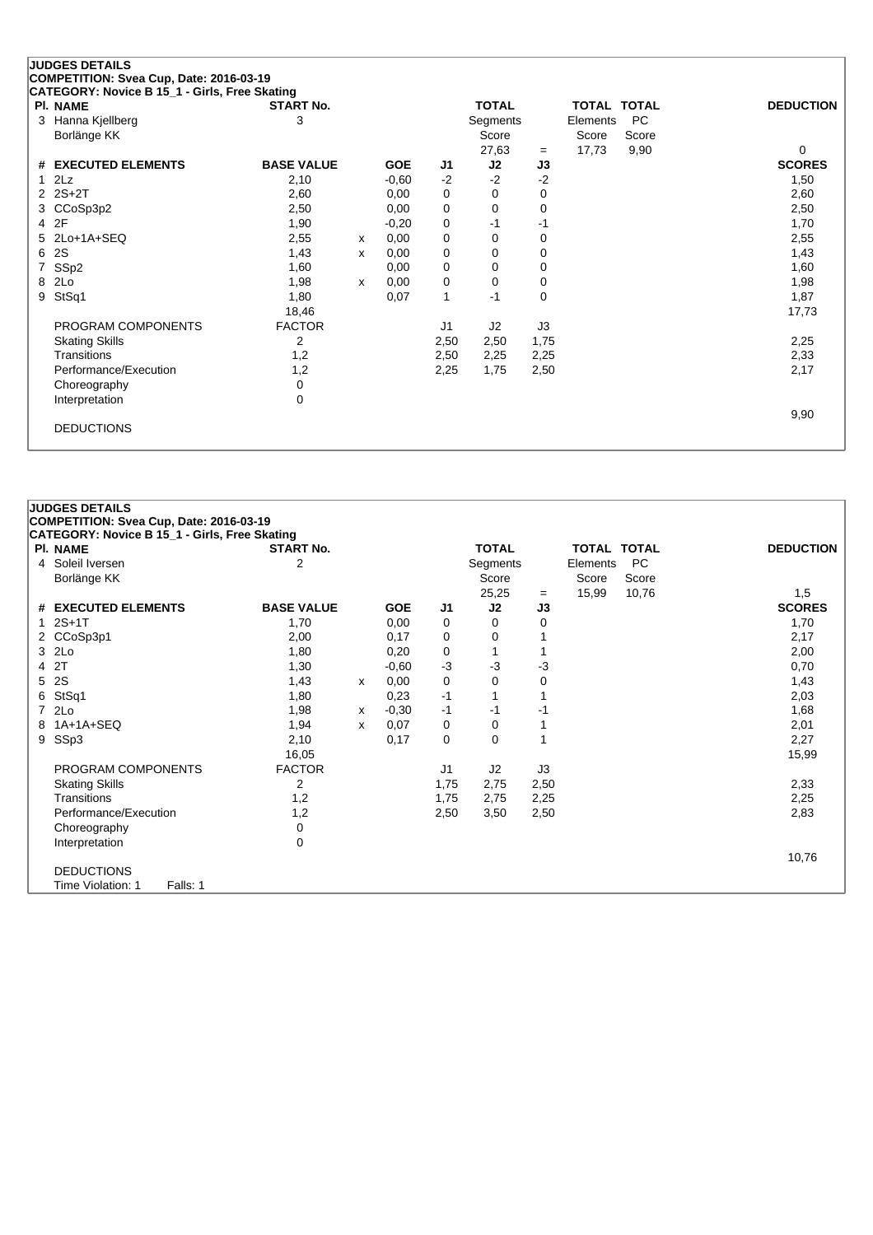## **JUDGES DETAILS**

**COMPETITION: Svea Cup, Date: 2016-03-19**

| CATEGORY: Novice B 15_1 - Girls, Free Skating |                   |   |            |             |              |      |             |           |                  |
|-----------------------------------------------|-------------------|---|------------|-------------|--------------|------|-------------|-----------|------------------|
| <b>PI. NAME</b>                               | <b>START No.</b>  |   |            |             | <b>TOTAL</b> |      | TOTAL TOTAL |           | <b>DEDUCTION</b> |
| 3 Hanna Kjellberg                             | 3                 |   |            |             | Segments     |      | Elements    | <b>PC</b> |                  |
| Borlänge KK                                   |                   |   |            |             | Score        |      | Score       | Score     |                  |
|                                               |                   |   |            |             | 27,63        | $=$  | 17,73       | 9,90      | 0                |
| # EXECUTED ELEMENTS                           | <b>BASE VALUE</b> |   | <b>GOE</b> | J1          | J2           | J3   |             |           | <b>SCORES</b>    |
| $1$ $2Lz$                                     | 2,10              |   | $-0,60$    | $-2$        | $-2$         | $-2$ |             |           | 1,50             |
| $2$ $2S+2T$                                   | 2,60              |   | 0,00       | 0           | 0            | 0    |             |           | 2,60             |
| 3 CCoSp3p2                                    | 2,50              |   | 0,00       | 0           | 0            | 0    |             |           | 2,50             |
| 4 2F                                          | 1,90              |   | $-0,20$    | 0           | $-1$         | -1   |             |           | 1,70             |
| 5 2Lo+1A+SEQ                                  | 2,55              | х | 0,00       | 0           | 0            | 0    |             |           | 2,55             |
| 6 2S                                          | 1,43              | х | 0,00       | $\mathbf 0$ | 0            | 0    |             |           | 1,43             |
| 7 SSp2                                        | 1,60              |   | 0,00       | $\mathbf 0$ | 0            | 0    |             |           | 1,60             |
| 8 2Lo                                         | 1,98              | x | 0,00       | $\mathbf 0$ | 0            | 0    |             |           | 1,98             |
| 9 StSq1                                       | 1,80              |   | 0,07       | 1           | $-1$         | 0    |             |           | 1,87             |
|                                               | 18,46             |   |            |             |              |      |             |           | 17,73            |
| PROGRAM COMPONENTS                            | <b>FACTOR</b>     |   |            | J1          | J2           | J3   |             |           |                  |
| <b>Skating Skills</b>                         | 2                 |   |            | 2,50        | 2,50         | 1,75 |             |           | 2,25             |
| Transitions                                   | 1,2               |   |            | 2,50        | 2,25         | 2,25 |             |           | 2,33             |
| Performance/Execution                         | 1,2               |   |            | 2,25        | 1,75         | 2,50 |             |           | 2,17             |
| Choreography                                  | 0                 |   |            |             |              |      |             |           |                  |
| Interpretation                                | 0                 |   |            |             |              |      |             |           |                  |
|                                               |                   |   |            |             |              |      |             |           | 9,90             |
| <b>DEDUCTIONS</b>                             |                   |   |            |             |              |      |             |           |                  |
|                                               |                   |   |            |             |              |      |             |           |                  |

| <b>JUDGES DETAILS</b><br>COMPETITION: Svea Cup, Date: 2016-03-19 |                   |   |            |                |              |             |                    |           |                  |
|------------------------------------------------------------------|-------------------|---|------------|----------------|--------------|-------------|--------------------|-----------|------------------|
| CATEGORY: Novice B 15_1 - Girls, Free Skating                    |                   |   |            |                |              |             |                    |           |                  |
| <b>PI. NAME</b>                                                  | <b>START No.</b>  |   |            |                | <b>TOTAL</b> |             | <b>TOTAL TOTAL</b> |           | <b>DEDUCTION</b> |
| 4 Soleil Iversen                                                 | $\overline{2}$    |   |            |                | Segments     |             | Elements           | <b>PC</b> |                  |
| Borlänge KK                                                      |                   |   |            |                | Score        |             | Score              | Score     |                  |
|                                                                  |                   |   |            |                | 25,25        | $=$         | 15,99              | 10,76     | 1,5              |
| # EXECUTED ELEMENTS                                              | <b>BASE VALUE</b> |   | <b>GOE</b> | J1             | J2           | J3          |                    |           | <b>SCORES</b>    |
| $12S+1T$                                                         | 1,70              |   | 0,00       | 0              | 0            | 0           |                    |           | 1,70             |
| 2 CCoSp3p1                                                       | 2,00              |   | 0,17       | 0              | 0            |             |                    |           | 2,17             |
| 3 2Lo                                                            | 1,80              |   | 0,20       | 0              | 1            | 1           |                    |           | 2,00             |
| 4 2T                                                             | 1,30              |   | $-0,60$    | -3             | $-3$         | $-3$        |                    |           | 0,70             |
| 5 2S                                                             | 1,43              | x | 0,00       | 0              | 0            | $\mathbf 0$ |                    |           | 1,43             |
| 6 StSq1                                                          | 1,80              |   | 0,23       | $-1$           | 1            | 1           |                    |           | 2,03             |
| 7 2Lo                                                            | 1,98              | x | $-0,30$    | -1             | $-1$         | -1          |                    |           | 1,68             |
| 8 1A+1A+SEQ                                                      | 1,94              | X | 0,07       | 0              | 0            | 1           |                    |           | 2,01             |
| 9 SSp3                                                           | 2,10              |   | 0,17       | $\Omega$       | $\mathbf 0$  | 1           |                    |           | 2,27             |
|                                                                  | 16,05             |   |            |                |              |             |                    |           | 15,99            |
| PROGRAM COMPONENTS                                               | <b>FACTOR</b>     |   |            | J <sub>1</sub> | J2           | J3          |                    |           |                  |
| <b>Skating Skills</b>                                            | $\overline{2}$    |   |            | 1,75           | 2,75         | 2,50        |                    |           | 2,33             |
| Transitions                                                      | 1,2               |   |            | 1,75           | 2,75         | 2,25        |                    |           | 2,25             |
| Performance/Execution                                            | 1,2               |   |            | 2,50           | 3,50         | 2,50        |                    |           | 2,83             |
| Choreography                                                     | 0                 |   |            |                |              |             |                    |           |                  |
| Interpretation                                                   | $\mathbf 0$       |   |            |                |              |             |                    |           |                  |
|                                                                  |                   |   |            |                |              |             |                    |           | 10,76            |
| <b>DEDUCTIONS</b>                                                |                   |   |            |                |              |             |                    |           |                  |
| Falls: 1<br>Time Violation: 1                                    |                   |   |            |                |              |             |                    |           |                  |
|                                                                  |                   |   |            |                |              |             |                    |           |                  |